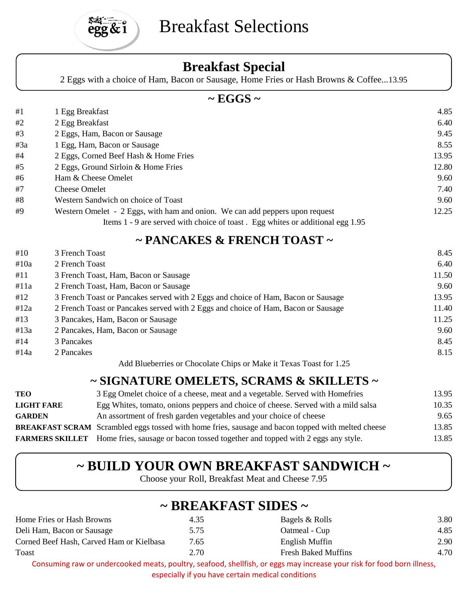

# Breakfast Selections

#### **Breakfast Special**

2 Eggs with a choice of Ham, Bacon or Sausage, Home Fries or Hash Browns & Coffee...13.95

#### **~ EGGS ~**

| #1  | 1 Egg Breakfast                                                                | 4.85  |
|-----|--------------------------------------------------------------------------------|-------|
| #2  | 2 Egg Breakfast                                                                | 6.40  |
| #3  | 2 Eggs, Ham, Bacon or Sausage                                                  | 9.45  |
| #3a | 1 Egg, Ham, Bacon or Sausage                                                   | 8.55  |
| #4  | 2 Eggs, Corned Beef Hash & Home Fries                                          | 13.95 |
| #5  | 2 Eggs, Ground Sirloin & Home Fries                                            | 12.80 |
| #6  | Ham & Cheese Omelet                                                            | 9.60  |
| #7  | <b>Cheese Omelet</b>                                                           | 7.40  |
| #8  | Western Sandwich on choice of Toast                                            | 9.60  |
| #9  | Western Omelet - 2 Eggs, with ham and onion. We can add peppers upon request   | 12.25 |
|     | Items 1 - 9 are served with choice of toast. Egg whites or additional egg 1.95 |       |

#### **~ PANCAKES & FRENCH TOAST ~**

| #10  | 3 French Toast                                                                    | 8.45  |
|------|-----------------------------------------------------------------------------------|-------|
| #10a | 2 French Toast                                                                    | 6.40  |
| #11  | 3 French Toast, Ham, Bacon or Sausage                                             | 11.50 |
| #11a | 2 French Toast, Ham, Bacon or Sausage                                             | 9.60  |
| #12  | 3 French Toast or Pancakes served with 2 Eggs and choice of Ham, Bacon or Sausage | 13.95 |
| #12a | 2 French Toast or Pancakes served with 2 Eggs and choice of Ham, Bacon or Sausage | 11.40 |
| #13  | 3 Pancakes, Ham, Bacon or Sausage                                                 | 11.25 |
| #13a | 2 Pancakes, Ham, Bacon or Sausage                                                 | 9.60  |
| #14  | 3 Pancakes                                                                        | 8.45  |
| #14a | 2 Pancakes                                                                        | 8.15  |
|      | Add Blueberries or Chocolate Chips or Make it Texas Toast for 1.25                |       |

#### **~ SIGNATURE OMELETS, SCRAMS & SKILLETS ~**

| TEO               | 3 Egg Omelet choice of a cheese, meat and a vegetable. Served with Homefries                              | 13.95 |
|-------------------|-----------------------------------------------------------------------------------------------------------|-------|
| <b>LIGHT FARE</b> | Egg Whites, tomato, onions peppers and choice of cheese. Served with a mild salsa                         | 10.35 |
| <b>GARDEN</b>     | An assortment of fresh garden vegetables and your choice of cheese                                        | 9.65  |
|                   | <b>BREAKFAST SCRAM</b> Scrambled eggs tossed with home fries, sausage and bacon topped with melted cheese | 13.85 |
|                   | <b>FARMERS SKILLET</b> Home fries, sausage or bacon tossed together and topped with 2 eggs any style.     | 13.85 |

## **~ BUILD YOUR OWN BREAKFAST SANDWICH ~**

Choose your Roll, Breakfast Meat and Cheese 7.95

## **~ BREAKFAST SIDES ~**

| Home Fries or Hash Browns                | 4.35 | Bagels & Rolls                                                                                                        | 3.80 |
|------------------------------------------|------|-----------------------------------------------------------------------------------------------------------------------|------|
| Deli Ham, Bacon or Sausage               | 5.75 | Oatmeal - Cup                                                                                                         | 4.85 |
| Corned Beef Hash, Carved Ham or Kielbasa | 7.65 | English Muffin                                                                                                        | 2.90 |
| Toast                                    | 2.70 | <b>Fresh Baked Muffins</b>                                                                                            | 4.70 |
|                                          |      | Consuming raw or underspeaked meats, poultry, seafood, shollfish, or eggs may increase your risk for food bernillness |      |

Consuming raw or undercooked meats, poultry, seafood, shellfish, or eggs may increase your risk for food born illness, especially if you have certain medical conditions